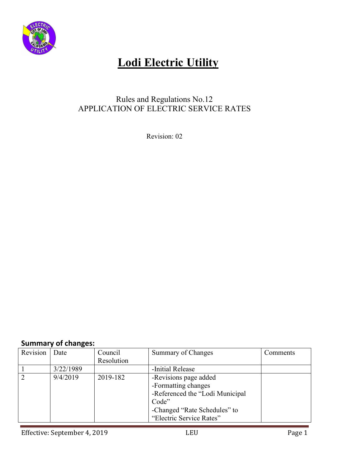

## **Lodi Electric Utility**

## Rules and Regulations No.12 APPLICATION OF ELECTRIC SERVICE RATES

Revision: 02

### **Summary of changes:**

| Revision | Date      | Council    | Summary of Changes              | Comments |
|----------|-----------|------------|---------------------------------|----------|
|          |           | Resolution |                                 |          |
|          | 3/22/1989 |            | -Initial Release                |          |
| 2        | 9/4/2019  | 2019-182   | -Revisions page added           |          |
|          |           |            | -Formatting changes             |          |
|          |           |            | -Referenced the "Lodi Municipal |          |
|          |           |            | Code"                           |          |
|          |           |            | -Changed "Rate Schedules" to    |          |
|          |           |            | "Electric Service Rates"        |          |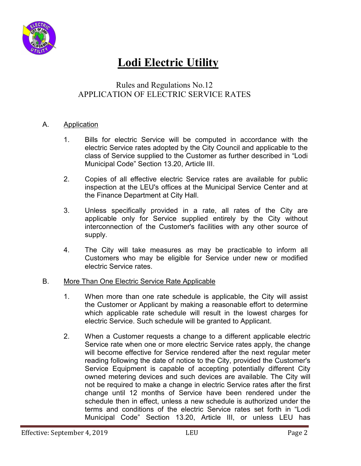

## **Lodi Electric Utility**

### Rules and Regulations No.12 APPLICATION OF ELECTRIC SERVICE RATES

#### A. Application

- 1. Bills for electric Service will be computed in accordance with the electric Service rates adopted by the City Council and applicable to the class of Service supplied to the Customer as further described in "Lodi Municipal Code" Section 13.20, Article III.
- 2. Copies of all effective electric Service rates are available for public inspection at the LEU's offices at the Municipal Service Center and at the Finance Department at City Hall.
- 3. Unless specifically provided in a rate, all rates of the City are applicable only for Service supplied entirely by the City without interconnection of the Customer's facilities with any other source of supply.
- 4. The City will take measures as may be practicable to inform all Customers who may be eligible for Service under new or modified electric Service rates.

#### B. More Than One Electric Service Rate Applicable

- 1. When more than one rate schedule is applicable, the City will assist the Customer or Applicant by making a reasonable effort to determine which applicable rate schedule will result in the lowest charges for electric Service. Such schedule will be granted to Applicant.
- 2. When a Customer requests a change to a different applicable electric Service rate when one or more electric Service rates apply, the change will become effective for Service rendered after the next regular meter reading following the date of notice to the City, provided the Customer's Service Equipment is capable of accepting potentially different City owned metering devices and such devices are available. The City will not be required to make a change in electric Service rates after the first change until 12 months of Service have been rendered under the schedule then in effect, unless a new schedule is authorized under the terms and conditions of the electric Service rates set forth in "Lodi Municipal Code" Section 13.20, Article III, or unless LEU has